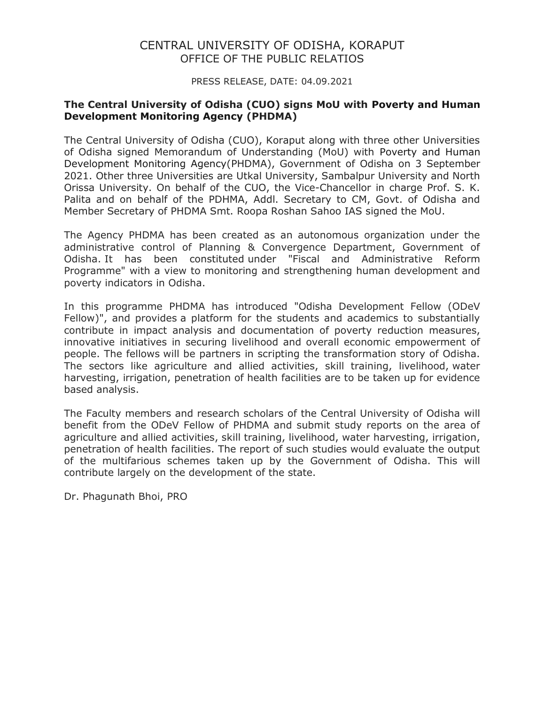## CENTRAL UNIVERSITY OF ODISHA, KORAPUT OFFICE OF THE PUBLIC RELATIOS

PRESS RELEASE, DATE: 04.09.2021

## The Central University of Odisha (CUO) signs MoU with Poverty and Human Development Monitoring Agency (PHDMA)

The Central University of Odisha (CUO), Koraput along with three other Universities of Odisha signed Memorandum of Understanding (MoU) with Poverty and Human Development Monitoring Agency(PHDMA), Government of Odisha on 3 September 2021. Other three Universities are Utkal University, Sambalpur University and North Orissa University. On behalf of the CUO, the Vice-Chancellor in charge Prof. S. K. Palita and on behalf of the PDHMA, Addl. Secretary to CM, Govt. of Odisha and Member Secretary of PHDMA Smt. Roopa Roshan Sahoo IAS signed the MoU.

The Agency PHDMA has been created as an autonomous organization under the administrative control of Planning & Convergence Department, Government of Odisha. It has been constituted under "Fiscal and Administrative Reform Programme" with a view to monitoring and strengthening human development and poverty indicators in Odisha.

In this programme PHDMA has introduced "Odisha Development Fellow (ODeV Fellow)", and provides a platform for the students and academics to substantially contribute in impact analysis and documentation of poverty reduction measures, innovative initiatives in securing livelihood and overall economic empowerment of people. The fellows will be partners in scripting the transformation story of Odisha. The sectors like agriculture and allied activities, skill training, livelihood, water harvesting, irrigation, penetration of health facilities are to be taken up for evidence based analysis.

The Faculty members and research scholars of the Central University of Odisha will benefit from the ODeV Fellow of PHDMA and submit study reports on the area of agriculture and allied activities, skill training, livelihood, water harvesting, irrigation, penetration of health facilities. The report of such studies would evaluate the output of the multifarious schemes taken up by the Government of Odisha. This will contribute largely on the development of the state.

Dr. Phagunath Bhoi, PRO